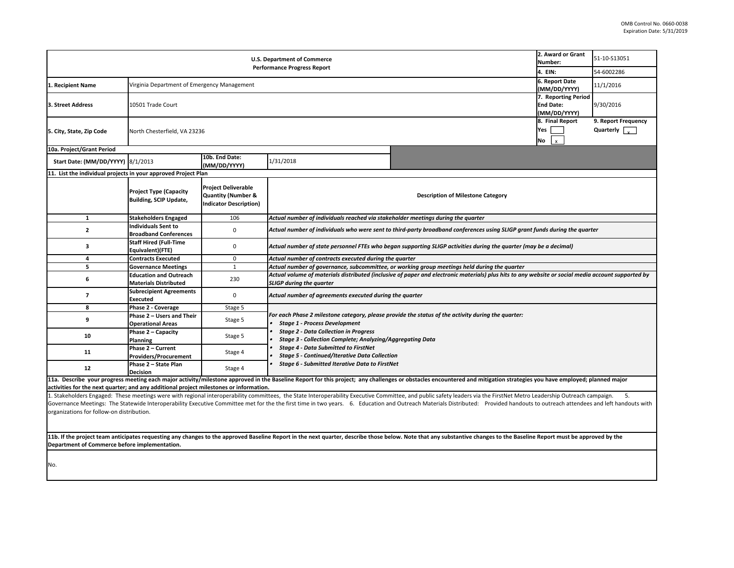| U.S. Department of Commerce                                                                                                                                                                                                                                                 |                                                                |                                                                                              |                                                                                                                                                                                |                                                                                                    | 2. Award or Grant<br>Number: | 51-10-S13051                                       |  |  |
|-----------------------------------------------------------------------------------------------------------------------------------------------------------------------------------------------------------------------------------------------------------------------------|----------------------------------------------------------------|----------------------------------------------------------------------------------------------|--------------------------------------------------------------------------------------------------------------------------------------------------------------------------------|----------------------------------------------------------------------------------------------------|------------------------------|----------------------------------------------------|--|--|
| <b>Performance Progress Report</b>                                                                                                                                                                                                                                          |                                                                |                                                                                              |                                                                                                                                                                                |                                                                                                    |                              | 54-6002286                                         |  |  |
| 1. Recipient Name                                                                                                                                                                                                                                                           | Virginia Department of Emergency Management                    |                                                                                              |                                                                                                                                                                                |                                                                                                    |                              | 11/1/2016                                          |  |  |
| 3. Street Address                                                                                                                                                                                                                                                           | 10501 Trade Court                                              |                                                                                              |                                                                                                                                                                                |                                                                                                    |                              | 9/30/2016                                          |  |  |
| 5. City, State, Zip Code                                                                                                                                                                                                                                                    | North Chesterfield, VA 23236                                   |                                                                                              |                                                                                                                                                                                |                                                                                                    |                              | 9. Report Frequency<br>Quarterly $\sqrt{\sqrt{2}}$ |  |  |
| 10a. Project/Grant Period                                                                                                                                                                                                                                                   |                                                                |                                                                                              |                                                                                                                                                                                |                                                                                                    |                              |                                                    |  |  |
| Start Date: (MM/DD/YYYY) 8/1/2013                                                                                                                                                                                                                                           |                                                                | 10b. End Date:<br>(MM/DD/YYYY)                                                               | 1/31/2018                                                                                                                                                                      |                                                                                                    |                              |                                                    |  |  |
| 11. List the individual projects in your approved Project Plan                                                                                                                                                                                                              |                                                                |                                                                                              |                                                                                                                                                                                |                                                                                                    |                              |                                                    |  |  |
|                                                                                                                                                                                                                                                                             | <b>Project Type (Capacity</b><br><b>Building, SCIP Update,</b> | <b>Project Deliverable</b><br><b>Quantity (Number &amp;</b><br><b>Indicator Description)</b> |                                                                                                                                                                                | <b>Description of Milestone Category</b>                                                           |                              |                                                    |  |  |
| $\mathbf{1}$                                                                                                                                                                                                                                                                | <b>Stakeholders Engaged</b>                                    | 106                                                                                          | Actual number of individuals reached via stakeholder meetings during the quarter                                                                                               |                                                                                                    |                              |                                                    |  |  |
| $\mathbf{2}$                                                                                                                                                                                                                                                                | Individuals Sent to<br><b>Broadband Conferences</b>            | 0                                                                                            | Actual number of individuals who were sent to third-party broadband conferences using SLIGP grant funds during the quarter                                                     |                                                                                                    |                              |                                                    |  |  |
| 3                                                                                                                                                                                                                                                                           | <b>Staff Hired (Full-Time</b><br>Equivalent)(FTE)              | $\mathbf 0$                                                                                  | Actual number of state personnel FTEs who began supporting SLIGP activities during the quarter (may be a decimal)                                                              |                                                                                                    |                              |                                                    |  |  |
| 4                                                                                                                                                                                                                                                                           | <b>Contracts Executed</b>                                      | $\mathbf 0$                                                                                  | Actual number of contracts executed during the quarter                                                                                                                         |                                                                                                    |                              |                                                    |  |  |
| $\overline{\mathbf{s}}$                                                                                                                                                                                                                                                     | <b>Governance Meetings</b>                                     | $\mathbf{1}$                                                                                 | Actual number of governance, subcommittee, or working group meetings held during the quarter                                                                                   |                                                                                                    |                              |                                                    |  |  |
| 6                                                                                                                                                                                                                                                                           | <b>Education and Outreach</b><br>Materials Distributed         | 230                                                                                          | Actual volume of materials distributed (inclusive of paper and electronic materials) plus hits to any website or social media account supported by<br>SLIGP during the quarter |                                                                                                    |                              |                                                    |  |  |
| $\overline{\phantom{a}}$                                                                                                                                                                                                                                                    | <b>Subrecipient Agreements</b><br><b>Executed</b>              | $\mathbf 0$                                                                                  | Actual number of agreements executed during the quarter                                                                                                                        |                                                                                                    |                              |                                                    |  |  |
| 8                                                                                                                                                                                                                                                                           | Phase 2 - Coverage                                             | Stage 5                                                                                      |                                                                                                                                                                                |                                                                                                    |                              |                                                    |  |  |
| 9                                                                                                                                                                                                                                                                           | Phase 2 - Users and Their<br><b>Operational Areas</b>          | Stage 5                                                                                      | <b>Stage 1 - Process Development</b>                                                                                                                                           | For each Phase 2 milestone category, please provide the status of the activity during the quarter: |                              |                                                    |  |  |
| 10                                                                                                                                                                                                                                                                          | Phase 2 - Capacity<br>Planning                                 | Stage 5                                                                                      | <b>Stage 2 - Data Collection in Progress</b><br>Stage 3 - Collection Complete; Analyzing/Aggregating Data                                                                      |                                                                                                    |                              |                                                    |  |  |
| 11                                                                                                                                                                                                                                                                          | Phase 2 - Current<br>Providers/Procurement                     | Stage 4                                                                                      | <b>Stage 4 - Data Submitted to FirstNet</b><br><b>Stage 5 - Continued/Iterative Data Collection</b><br>Stage 6 - Submitted Iterative Data to FirstNet                          |                                                                                                    |                              |                                                    |  |  |
| 12                                                                                                                                                                                                                                                                          | Phase 2 - State Plan<br><b>Decision</b>                        | Stage 4                                                                                      |                                                                                                                                                                                |                                                                                                    |                              |                                                    |  |  |
| 11a. Describe your progress meeting each major activity/milestone approved in the Baseline Report for this project; any challenges or obstacles encountered and mitigation strategies you have employed; planned major                                                      |                                                                |                                                                                              |                                                                                                                                                                                |                                                                                                    |                              |                                                    |  |  |
| activities for the next quarter; and any additional project milestones or information.                                                                                                                                                                                      |                                                                |                                                                                              |                                                                                                                                                                                |                                                                                                    |                              |                                                    |  |  |
| 1. Stakeholders Engaged: These meetings were with regional interoperability committees, the State Interoperability Executive Committee, and public safety leaders via the FirstNet Metro Leadership Outreach campaign.<br>5.                                                |                                                                |                                                                                              |                                                                                                                                                                                |                                                                                                    |                              |                                                    |  |  |
| Governance Meetings: The Statewide Interoperability Executive Committee met for the the first time in two years. 6. Education and Outreach Materials Distributed: Provided handouts to outreach attendees and left handouts wi<br>organizations for follow-on distribution. |                                                                |                                                                                              |                                                                                                                                                                                |                                                                                                    |                              |                                                    |  |  |
|                                                                                                                                                                                                                                                                             |                                                                |                                                                                              |                                                                                                                                                                                |                                                                                                    |                              |                                                    |  |  |

11b. If the project team anticipates requesting any changes to the approved Baseline Report in the next quarter, describe those below. Note that any substantive changes to the Baseline Report must be approved by the **Department of Commerce before implementation.**

No.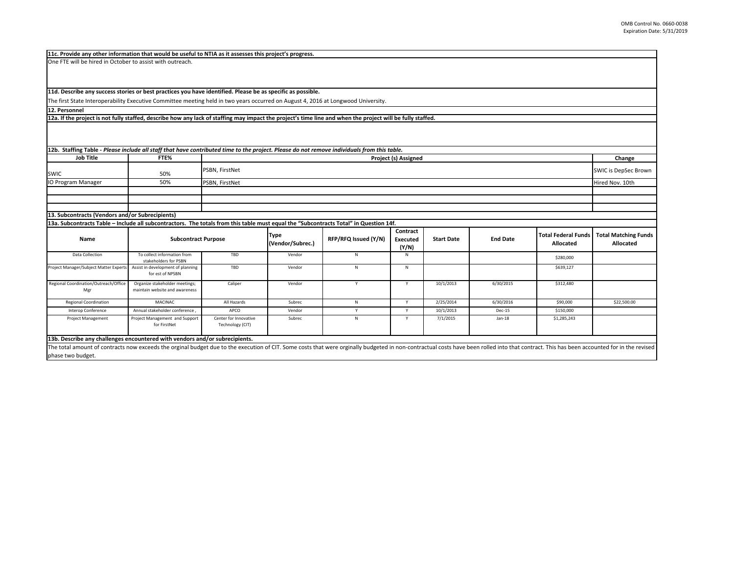**Job Title FTE% Change Project (s) Assigned** SWIC 50%ers of the SWIC is DepSec Brown (SWIC is DepSec Brown) and the second second second second second second second second second second second second second second second second second second second second second second secon **IO Program Manager** O Program Manager Nov. 10th 10th S0% PSBN, FirstNet Nov. 10th Service Service Service Service Service Service S The first State Interoperability Executive Committee meeting held in two years occurred on August 4, 2016 at Longwood University. 11d. Describe any success stories or best practices you have identified. Please be as specific as possible. 12b. Staffing Table - Please include all staff that have contributed time to the project. Please do not remove individuals from this table. 12a. If the project is not fully staffed, describe how any lack of staffing may impact the project's time line and when the project will be fully staffed. **12. Personnel** PSBN, FirstNet PSBN, FirstNet

**13. Subcontracts (Vendors and/or Subrecipients)**

Data Collection **The Theory Collection**  collect information from stakeholders for PSBNAssist in development of planning TBD Vendor N NN \$280,000 Project Manager/Subject Matter Experts for est of NPSBN TBD Vendor N N \$639,127 Regional Coordination/Outreach/Office Mgr Organize stakeholder meetings; maintain website and awareness Caliper Vendor <sup>Y</sup> <sup>Y</sup> 10/1/2013 6/30/2015 \$312,480 Regional Coordination | MACINAC | All Hazards | Subrec N N Y 2/25/2014 6/30/2016 | \$90,000 | \$22,500.00 Interop Conference | Annual stakeholder conference , APCO Vendor Vendor / Y 10/1/2013 Dec-15 \$150,000 Project Management Project Management and Support for FirstNet Center for InnovativeTechnology (CIT) Subrec N Y 7/1/2015 Jan‐18 \$1,285,243 **Subcontract Purpose Type (Vendor/Subrec.) RFP/RFQ Issued (Y/N) Contract Executed (Y/N) Total Federal Funds Allocated 13b. Describe any challenges encountered with vendors and/or subrecipients. Total Matching Funds Allocated Start Date End Date** 13a. Subcontracts Table – Include all subcontractors. The totals from this table must equal the "Subcontracts Total" in Question 14f. **Name**

The total amount of contracts now exceeds the orginal budget due to the execution of CIT. Some costs that were orginally budgeted in non-contractual costs have been rolled into that contract. This has been accounted for in phase two budget.

## **11c. Provide any other information that would be useful to NTIA as it assesses this project's progress.**

One FTE will be hired in October to assist with outreach.